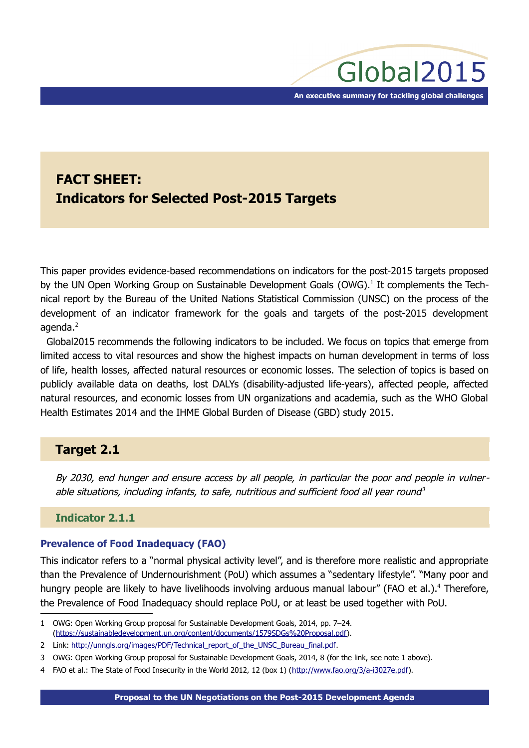# **FACT SHEET: Indicators for Selected Post-2015 Targets**

This paper provides evidence-based recommendations on indicators for the post-2015 targets proposed by the UN Open Working Group on Sustainable Development Goals (OWG).<sup>[1](#page-0-0)</sup> It complements the Technical report by the Bureau of the United Nations Statistical Commission (UNSC) on the process of the development of an indicator framework for the goals and targets of the post-2015 development agenda. $<sup>2</sup>$  $<sup>2</sup>$  $<sup>2</sup>$ </sup>

Global2015 recommends the following indicators to be included. We focus on topics that emerge from limited access to vital resources and show the highest impacts on human development in terms of loss of life, health losses, affected natural resources or economic losses. The selection of topics is based on publicly available data on deaths, lost DALYs (disability-adjusted life-years), affected people, affected natural resources, and economic losses from UN organizations and academia, such as the WHO Global Health Estimates 2014 and the IHME Global Burden of Disease (GBD) study 2015.

# **Target 2.1**

By 2030, end hunger and ensure access by all people, in particular the poor and people in vulnerable situations, inclu[d](#page-0-2)ing infants, to safe, nutritious and sufficient food all year round<sup>3</sup>

# **Indicator 2.1.1**

# **Prevalence of Food Inadequacy (FAO)**

This indicator refers to a "normal physical activity level", and is therefore more realistic and appropriate than the Prevalence of Undernourishment (PoU) which assumes a "sedentary lifestyle". "Many poor and hungry people are likely to have livelihoods involving arduous manual labour" (FAO et al.).<sup>[4](#page-0-3)</sup> Therefore, the Prevalence of Food Inadequacy should replace PoU, or at least be used together with PoU.

<span id="page-0-0"></span><sup>1</sup> OWG: Open Working Group proposal for Sustainable Development Goals, 2014, pp. 7–24. [\(https://sustainabledevelopment.un.org/content/documents/1579SDGs%20Proposal.pdf\)](https://sustainabledevelopment.un.org/content/documents/1579SDGs%20Proposal.pdf).

<span id="page-0-1"></span><sup>2</sup> Link: [http://unngls.org/images/PDF/Technical\\_report\\_of\\_the\\_UNSC\\_Bureau\\_final.pdf.](http://unngls.org/images/PDF/Technical_report_of_the_UNSC_Bureau_final.pdf)

<span id="page-0-2"></span><sup>3</sup> OWG: Open Working Group proposal for Sustainable Development Goals, 2014, 8 (for the link, see note [1](#page-0-0) above).

<span id="page-0-3"></span><sup>4</sup> FAO et al.: The State of Food Insecurity in the World 2012, 12 (box 1) [\(http://www.fao.org/3/a-i3027e.pdf\)](http://www.fao.org/3/a-i3027e.pdf).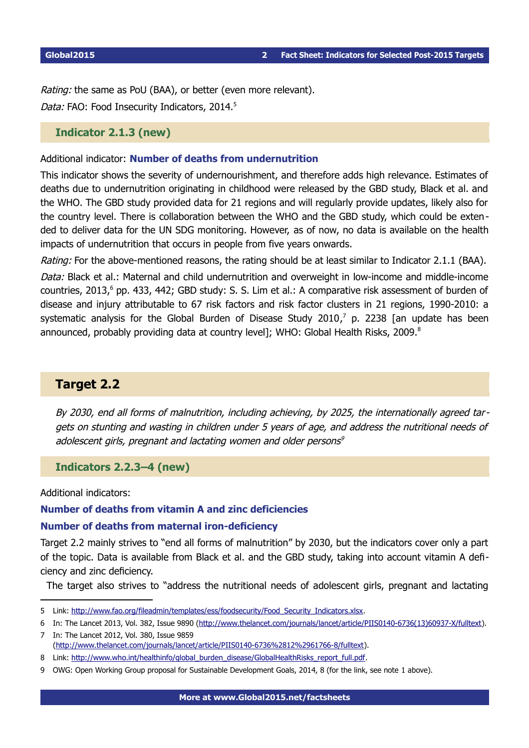Rating: the same as PoU (BAA), or better (even more relevant). Data: FAO: Food Insecurity Indicators, 2014.<sup>[5](#page-1-0)</sup>

### **Indicator 2.1.3 (new)**

Additional indicator: **Number of deaths from undernutrition**

This indicator shows the severity of undernourishment, and therefore adds high relevance. Estimates of deaths due to undernutrition originating in childhood were released by the GBD study, Black et al. and the WHO. The GBD study provided data for 21 regions and will regularly provide updates, likely also for the country level. There is collaboration between the WHO and the GBD study, which could be extended to deliver data for the UN SDG monitoring. However, as of now, no data is available on the health impacts of undernutrition that occurs in people from five years onwards.

Rating: For the above-mentioned reasons, the rating should be at least similar to Indicator 2.1.1 (BAA).

Data: Black et al.: Maternal and child undernutrition and overweight in low-income and middle-income countries, 2013,<sup>[6](#page-1-1)</sup> pp. 433, 442; GBD study: S. S. Lim et al.: A comparative risk assessment of burden of disease and injury attributable to 67 risk factors and risk factor clusters in 21 regions, 1990-2010: a systematic analysis for the Global Burden of Disease Study 2010, $^7$  $^7$  p. 2238 [an update has been announced, probably providing data at country level]; WHO: Global Health Risks, 2009.<sup>[8](#page-1-3)</sup>

# **Target 2.2**

By 2030, end all forms of malnutrition, including achieving, by 2025, the internationally agreed targets on stunting and wasting in children under 5 years of age, and address the nutritional needs of adole[s](#page-1-4)cent girls, pregnant and lactating women and older persons<sup>9</sup>

**Indicators 2.2.3–4 (new)**

Additional indicators:

### **Number of deaths from vitamin A and zinc deficiencies**

#### **Number of deaths from maternal iron-deficiency**

Target 2.2 mainly strives to "end all forms of malnutrition" by 2030, but the indicators cover only a part of the topic. Data is available from Black et al. and the GBD study, taking into account vitamin A deficiency and zinc deficiency.

The target also strives to "address the nutritional needs of adolescent girls, pregnant and lactating

<span id="page-1-0"></span><sup>5</sup> Link: [http://www.fao.org/fileadmin/templates/ess/foodsecurity/Food\\_Security\\_Indicators.xlsx.](http://www.fao.org/fileadmin/templates/ess/foodsecurity/Food_Security_Indicators.xlsx)

<span id="page-1-1"></span><sup>6</sup> In: The Lancet 2013, Vol. 382, Issue 9890 [\(http://www.thelancet.com/journals/lancet/article/PIIS0140-6736\(13\)60937-X/fulltext\)](http://www.thelancet.com/journals/lancet/article/PIIS0140-6736(13)60937-X/fulltext).

<span id="page-1-2"></span><sup>7</sup> In: The Lancet 2012, Vol. 380, Issue 9859 [\(http://www.thelancet.com/journals/lancet/article/PIIS0140-6736%2812%2961766-8/fulltext\)](http://www.thelancet.com/journals/lancet/article/PIIS0140-6736(12)61766-8/fulltext).

<span id="page-1-3"></span><sup>8</sup> Link: [http://www.who.int/healthinfo/global\\_burden\\_disease/GlobalHealthRisks\\_report\\_full.pdf.](http://www.who.int/healthinfo/global_burden_disease/GlobalHealthRisks_report_full.pdf)

<span id="page-1-4"></span><sup>9</sup> OWG: Open Working Group proposal for Sustainable Development Goals, 2014, 8 (for the link, see note [1](#page-0-0) above).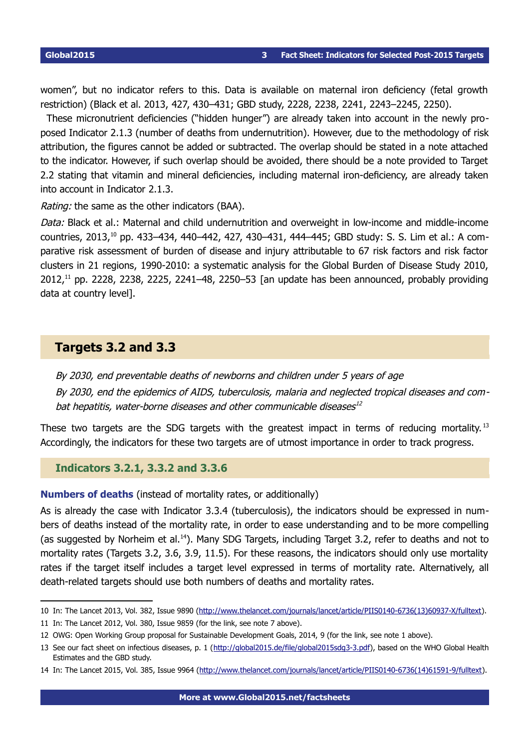women", but no indicator refers to this. Data is available on maternal iron deficiency (fetal growth restriction) (Black et al. 2013, 427, 430–431; GBD study, 2228, 2238, 2241, 2243–2245, 2250).

These micronutrient deficiencies ("hidden hunger") are already taken into account in the newly proposed Indicator 2.1.3 (number of deaths from undernutrition). However, due to the methodology of risk attribution, the figures cannot be added or subtracted. The overlap should be stated in a note attached to the indicator. However, if such overlap should be avoided, there should be a note provided to Target 2.2 stating that vitamin and mineral deficiencies, including maternal iron-deficiency, are already taken into account in Indicator 2.1.3.

Rating: the same as the other indicators (BAA).

Data: Black et al.: Maternal and child undernutrition and overweight in low-income and middle-income countries, 2013,<sup>[10](#page-2-0)</sup> pp. 433–434, 440–442, 427, 430–431, 444–445; GBD study: S. S. Lim et al.: A comparative risk assessment of burden of disease and injury attributable to 67 risk factors and risk factor clusters in 21 regions, 1990-2010: a systematic analysis for the Global Burden of Disease Study 2010, 2012, [11](#page-2-1) pp. 2228, 2238, 2225, 2241–48, 2250–53 [an update has been announced, probably providing data at country level].

# **Targets 3.2 and 3.3**

By 2030, end preventable deaths of newborns and children under 5 years of age By 2030, end the epidemics of AIDS, tuberculosis, malaria and neglected tropical diseases and com-bat hepatitis, water-borne diseases and other communicable diseases[12](#page-2-2)

These two targets are the SDG targets with the greatest impact in terms of reducing mortality.<sup>[13](#page-2-3)</sup> Accordingly, the indicators for these two targets are of utmost importance in order to track progress.

**Indicators 3.2.1, 3.3.2 and 3.3.6**

**Numbers of deaths** (instead of mortality rates, or additionally)

As is already the case with Indicator 3.3.4 (tuberculosis), the indicators should be expressed in numbers of deaths instead of the mortality rate, in order to ease understanding and to be more compelling (as suggested by Norheim et al.<sup>[14](#page-2-4)</sup>). Many SDG Targets, including Target 3.2, refer to deaths and not to mortality rates (Targets 3.2, 3.6, 3.9, 11.5). For these reasons, the indicators should only use mortality rates if the target itself includes a target level expressed in terms of mortality rate. Alternatively, all death-related targets should use both numbers of deaths and mortality rates.

<span id="page-2-0"></span><sup>10</sup> In: The Lancet 2013, Vol. 382, Issue 9890 [\(http://www.thelancet.com/journals/lancet/article/PIIS0140-6736\(13\)60937-X/fulltext\)](http://www.thelancet.com/journals/lancet/article/PIIS0140-6736(13)60937-X/fulltext).

<span id="page-2-1"></span><sup>11</sup> In: The Lancet 2012, Vol. 380, Issue 9859 (for the link, see note [7](#page-1-2) above).

<span id="page-2-2"></span><sup>12</sup> OWG: Open Working Group proposal for Sustainable Development Goals, 2014, 9 (for the link, see note [1](#page-0-0) above).

<span id="page-2-3"></span><sup>13</sup> See our fact sheet on infectious diseases, p. 1 [\(http://global2015.de/file/global2015sdg3-3.pdf\)](http://global2015.de/file/global2015sdg3-3.pdf), based on the WHO Global Health Estimates and the GBD study.

<span id="page-2-4"></span><sup>14</sup> In: The Lancet 2015, Vol. 385, Issue 9964 [\(http://www.thelancet.com/journals/lancet/article/PIIS0140-6736\(14\)61591-9/fulltext\)](http://www.thelancet.com/journals/lancet/article/PIIS0140-6736(14)61591-9/fulltext).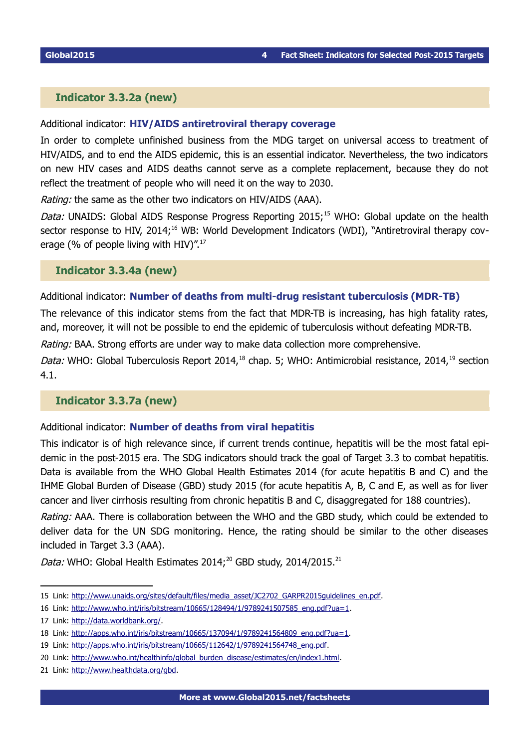### **Indicator 3.3.2a (new)**

### Additional indicator: **HIV/AIDS antiretroviral therapy coverage**

In order to complete unfinished business from the MDG target on universal access to treatment of HIV/AIDS, and to end the AIDS epidemic, this is an essential indicator. Nevertheless, the two indicators on new HIV cases and AIDS deaths cannot serve as a complete replacement, because they do not reflect the treatment of people who will need it on the way to 2030.

Rating: the same as the other two indicators on HIV/AIDS (AAA).

Data: UNAIDS: Global AIDS Response Progress Reporting 20[15](#page-3-0);<sup>15</sup> WHO: Global update on the health sector response to HIV, 2014;<sup>[16](#page-3-1)</sup> WB: World Development Indicators (WDI), "Antiretroviral therapy cov-erage (% of people living with HIV)".<sup>[17](#page-3-2)</sup>

**Indicator 3.3.4a (new)** 

### Additional indicator: **Number of deaths from multi-drug resistant tuberculosis (MDR-TB)**

The relevance of this indicator stems from the fact that MDR-TB is increasing, has high fatality rates, and, moreover, it will not be possible to end the epidemic of tuberculosis without defeating MDR-TB.

Rating: BAA. Strong efforts are under way to make data collection more comprehensive.

Data: WHO: Global Tuberculosis Report 2014,<sup>[18](#page-3-3)</sup> chap. 5; WHO: Antimicrobial resistance, 2014,<sup>[19](#page-3-4)</sup> section 4.1.

### **Indicator 3.3.7a (new)**

Additional indicator: **Number of deaths from viral hepatitis** 

This indicator is of high relevance since, if current trends continue, hepatitis will be the most fatal epidemic in the post-2015 era. The SDG indicators should track the goal of Target 3.3 to combat hepatitis. Data is available from the WHO Global Health Estimates 2014 (for acute hepatitis B and C) and the IHME Global Burden of Disease (GBD) study 2015 (for acute hepatitis A, B, C and E, as well as for liver cancer and liver cirrhosis resulting from chronic hepatitis B and C, disaggregated for 188 countries).

Rating: AAA. There is collaboration between the WHO and the GBD study, which could be extended to deliver data for the UN SDG monitoring. Hence, the rating should be similar to the other diseases included in Target 3.3 (AAA).

Data: WHO: Global Health Estimates [20](#page-3-5)14;<sup>20</sup> GBD study, 2014/2015.<sup>[21](#page-3-6)</sup>

<span id="page-3-0"></span><sup>15</sup> Link: [http://www.unaids.org/sites/default/files/media\\_asset/JC2702\\_GARPR2015guidelines\\_en.pdf.](http://www.unaids.org/sites/default/files/media_asset/JC2702_GARPR2015guidelines_en.pdf)

<span id="page-3-1"></span><sup>16</sup> Link: [http://www.who.int/iris/bitstream/10665/128494/1/9789241507585\\_eng.pdf?ua=1.](http://www.who.int/iris/bitstream/10665/128494/1/9789241507585_eng.pdf?ua=1)

<span id="page-3-2"></span><sup>17</sup> Link: [http://data.worldbank.org/.](http://data.worldbank.org/)

<span id="page-3-3"></span><sup>18</sup> Link: [http://apps.who.int/iris/bitstream/10665/137094/1/9789241564809\\_eng.pdf?ua=1.](http://apps.who.int/iris/bitstream/10665/137094/1/9789241564809_eng.pdf?ua=1)

<span id="page-3-4"></span><sup>19</sup> Link: [http://apps.who.int/iris/bitstream/10665/112642/1/9789241564748\\_eng.pdf.](http://apps.who.int/iris/bitstream/10665/112642/1/9789241564748_eng.pdf)

<span id="page-3-5"></span><sup>20</sup> Link: [http://www.who.int/healthinfo/global\\_burden\\_disease/estimates/en/index1.html.](http://www.who.int/healthinfo/global_burden_disease/estimates/en/index1.html)

<span id="page-3-6"></span><sup>21</sup> Link: [http://www.healthdata.org/gbd.](http://www.healthdata.org/gbd)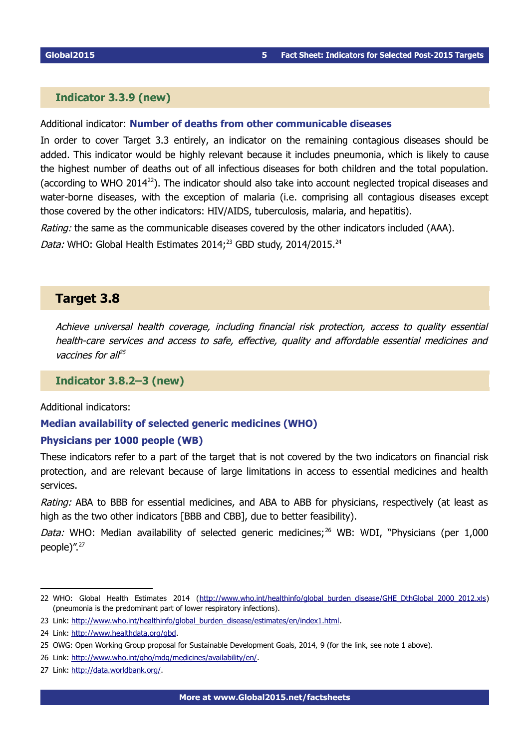### **Indicator 3.3.9 (new)**

#### Additional indicator: **Number of deaths from other communicable diseases**

In order to cover Target 3.3 entirely, an indicator on the remaining contagious diseases should be added. This indicator would be highly relevant because it includes pneumonia, which is likely to cause the highest number of deaths out of all infectious diseases for both children and the total population. (according to WHO 2014<sup>[22](#page-4-0)</sup>). The indicator should also take into account neglected tropical diseases and water-borne diseases, with the exception of malaria (i.e. comprising all contagious diseases except those covered by the other indicators: HIV/AIDS, tuberculosis, malaria, and hepatitis).

Rating: the same as the communicable diseases covered by the other indicators included (AAA).

Data: WHO: Global Health Estimates 2014;<sup>[23](#page-4-1)</sup> GBD study, 2014/2015.<sup>[24](#page-4-2)</sup>

# **Target 3.8**

Achieve universal health coverage, including financial risk protection, access to quality essential health-care services and access to safe, effective, quality and affordable essential medicines and vaccines for all<sup>[25](#page-4-3)</sup>

**Indicator 3.8.2–3 (new)**

Additional indicators:

### **Median availability of selected generic medicines (WHO)**

### **Physicians per 1000 people (WB)**

These indicators refer to a part of the target that is not covered by the two indicators on financial risk protection, and are relevant because of large limitations in access to essential medicines and health services.

Rating: ABA to BBB for essential medicines, and ABA to ABB for physicians, respectively (at least as high as the two other indicators [BBB and CBB], due to better feasibility).

Data: WHO: Median availability of selected generic medicines:  $^{26}$  $^{26}$  $^{26}$  WB: WDI, "Physicians (per 1,000 people)".<sup>[27](#page-4-5)</sup>

<span id="page-4-0"></span><sup>22</sup> WHO: Global Health Estimates 2014 (http://www.who.int/healthinfo/global burden disease/GHE\_DthGlobal\_2000\_2012.xls) (pneumonia is the predominant part of lower respiratory infections).

<span id="page-4-1"></span><sup>23</sup> Link: [http://www.who.int/healthinfo/global\\_burden\\_disease/estimates/en/index1.html.](http://www.who.int/healthinfo/global_burden_disease/estimates/en/index1.html)

<span id="page-4-2"></span><sup>24</sup> Link: [http://www.healthdata.org/gbd.](http://www.healthdata.org/gbd)

<span id="page-4-3"></span><sup>25</sup> OWG: Open Working Group proposal for Sustainable Development Goals, 2014, 9 (for the link, see note [1](#page-0-0) above).

<span id="page-4-4"></span><sup>26</sup> Link: [http://www.who.int/gho/mdg/medicines/availability/en/.](http://www.who.int/gho/mdg/medicines/availability/en/)

<span id="page-4-5"></span><sup>27</sup> Link: [http://data.worldbank.org/.](http://data.worldbank.org/)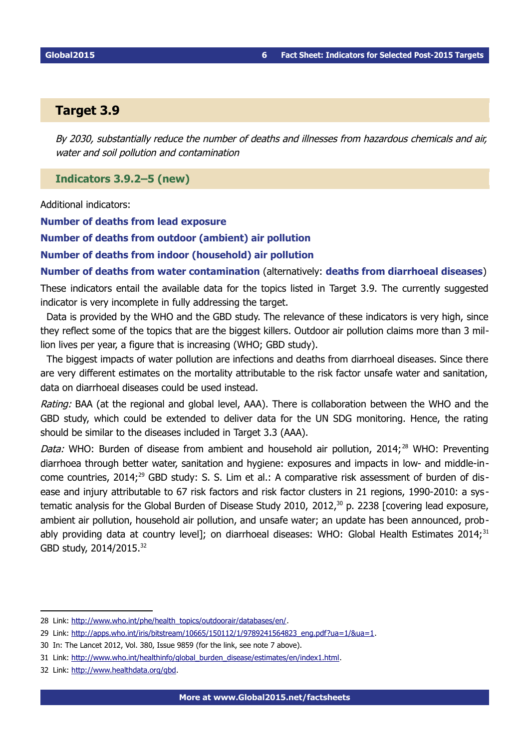# **Target 3.9**

By 2030, substantially reduce the number of deaths and illnesses from hazardous chemicals and air, water and soil pollution and contamination

**Indicators 3.9.2–5 (new)**

Additional indicators:

**Number of deaths from lead exposure** 

**Number of deaths from outdoor (ambient) air pollution** 

**Number of deaths from indoor (household) air pollution** 

**Number of deaths from water contamination** (alternatively: **deaths from diarrhoeal diseases**)

These indicators entail the available data for the topics listed in Target 3.9. The currently suggested indicator is very incomplete in fully addressing the target.

Data is provided by the WHO and the GBD study. The relevance of these indicators is very high, since they reflect some of the topics that are the biggest killers. Outdoor air pollution claims more than 3 million lives per year, a figure that is increasing (WHO; GBD study).

The biggest impacts of water pollution are infections and deaths from diarrhoeal diseases. Since there are very different estimates on the mortality attributable to the risk factor unsafe water and sanitation, data on diarrhoeal diseases could be used instead.

Rating: BAA (at the regional and global level, AAA). There is collaboration between the WHO and the GBD study, which could be extended to deliver data for the UN SDG monitoring. Hence, the rating should be similar to the diseases included in Target 3.3 (AAA).

Data: WHO: Burden of disease from ambient and household air pollution, 2014;<sup>[28](#page-5-0)</sup> WHO: Preventing diarrhoea through better water, sanitation and hygiene: exposures and impacts in low- and middle-in-come countries, 2014;<sup>[29](#page-5-1)</sup> GBD study: S. S. Lim et al.: A comparative risk assessment of burden of disease and injury attributable to 67 risk factors and risk factor clusters in 21 regions, 1990-2010: a sys - tematic analysis for the Global Burden of Disease Study 2010, 2012,<sup>[30](#page-5-2)</sup> p. 2238 [covering lead exposure, ambient air pollution, household air pollution, and unsafe water; an update has been announced, prob-ably providing data at country level]; on diarrhoeal diseases: WHO: Global Health Estimates 2014;<sup>[31](#page-5-3)</sup> GBD study, 2014/2015.<sup>[32](#page-5-4)</sup>

<span id="page-5-0"></span><sup>28</sup> Link: [http://www.who.int/phe/health\\_topics/outdoorair/databases/en/.](http://www.who.int/phe/health_topics/outdoorair/databases/en/)

<span id="page-5-1"></span><sup>29</sup> Link: [http://apps.who.int/iris/bitstream/10665/150112/1/9789241564823\\_eng.pdf?ua=1/&ua=1.](http://apps.who.int/iris/bitstream/10665/150112/1/9789241564823_eng.pdf?ua=1/&ua=1)

<span id="page-5-2"></span><sup>30</sup> In: The Lancet 2012, Vol. 380, Issue 9859 (for the link, see note [7](#page-1-2) above).

<span id="page-5-3"></span><sup>31</sup> Link: [http://www.who.int/healthinfo/global\\_burden\\_disease/estimates/en/index1.html.](http://www.who.int/healthinfo/global_burden_disease/estimates/en/index1.html)

<span id="page-5-4"></span><sup>32</sup> Link: [http://www.healthdata.org/gbd.](http://www.healthdata.org/gbd)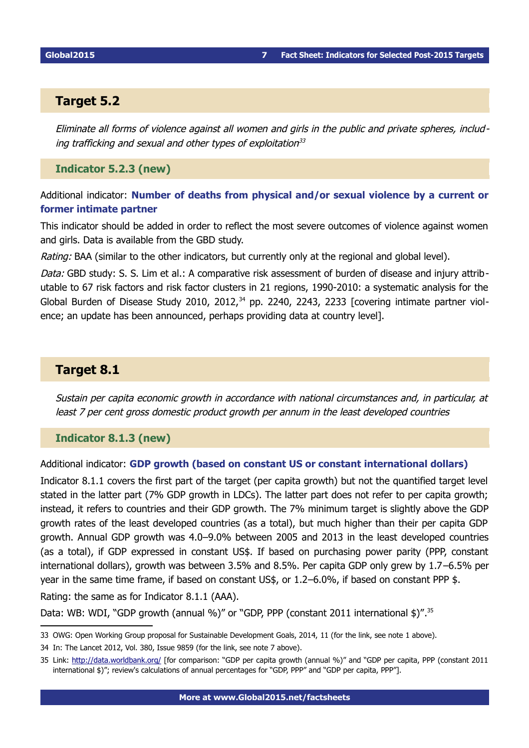# **Target 5.2**

Eliminate all forms of violence against all women and girls in the public and private spheres, includ-ing trafficking and sexual and other types of exploitation<sup>[33](#page-6-0)</sup>

### **Indicator 5.2.3 (new)**

Additional indicator: **Number of deaths from physical and/or sexual violence by a current or former intimate partner**

This indicator should be added in order to reflect the most severe outcomes of violence against women and girls. Data is available from the GBD study.

Rating: BAA (similar to the other indicators, but currently only at the regional and global level).

Data: GBD study: S. S. Lim et al.: A comparative risk assessment of burden of disease and injury attributable to 67 risk factors and risk factor clusters in 21 regions, 1990-2010: a systematic analysis for the Global Burden of Disease Study 2010, 2012, $34$  pp. 2240, 2243, 2233 [covering intimate partner violence; an update has been announced, perhaps providing data at country level].

# **Target 8.1**

Sustain per capita economic growth in accordance with national circumstances and, in particular, at least 7 per cent gross domestic product growth per annum in the least developed countries

**Indicator 8.1.3 (new)**

### Additional indicator: **GDP growth (based on constant US or constant international dollars)**

Indicator 8.1.1 covers the first part of the target (per capita growth) but not the quantified target level stated in the latter part (7% GDP growth in LDCs). The latter part does not refer to per capita growth; instead, it refers to countries and their GDP growth. The 7% minimum target is slightly above the GDP growth rates of the least developed countries (as a total), but much higher than their per capita GDP growth. Annual GDP growth was 4.0–9.0% between 2005 and 2013 in the least developed countries (as a total), if GDP expressed in constant US\$. If based on purchasing power parity (PPP, constant international dollars), growth was between 3.5% and 8.5%. Per capita GDP only grew by 1.7–6.5% per year in the same time frame, if based on constant US\$, or 1.2–6.0%, if based on constant PPP \$.

Rating: the same as for Indicator 8.1.1 (AAA).

Data: WB: WDI, "GDP growth (annual %)" or "GDP, PPP (constant 2011 international \$)".<sup>[35](#page-6-2)</sup>

<span id="page-6-0"></span><sup>33</sup> OWG: Open Working Group proposal for Sustainable Development Goals, 2014, 11 (for the link, see note [1](#page-0-0) above).

<span id="page-6-1"></span><sup>34</sup> In: The Lancet 2012, Vol. 380, Issue 9859 (for the link, see note [7](#page-1-2) above).

<span id="page-6-2"></span><sup>35</sup> Link:<http://data.worldbank.org/> [for comparison: "GDP per capita growth (annual %)" and "GDP per capita, PPP (constant 2011 international \$)"; review's calculations of annual percentages for "GDP, PPP" and "GDP per capita, PPP"].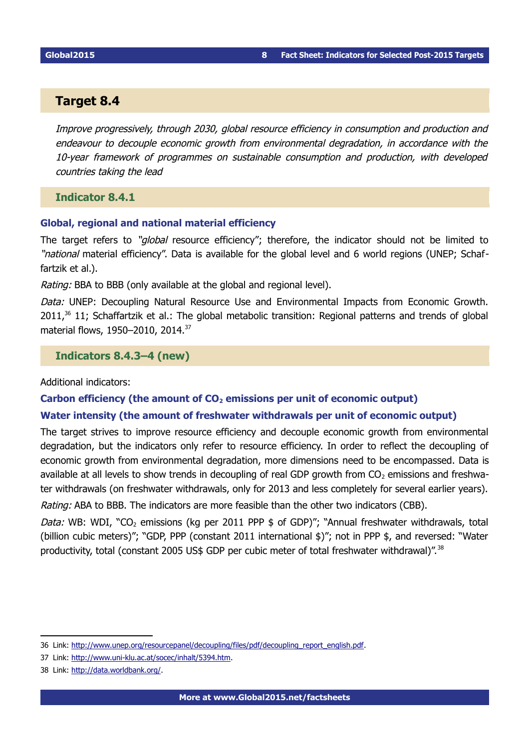## **Target 8.4**

Improve progressively, through 2030, global resource efficiency in consumption and production and endeavour to decouple economic growth from environmental degradation, in accordance with the 10-year framework of programmes on sustainable consumption and production, with developed countries taking the lead

**Indicator 8.4.1**

#### **Global, regional and national material efficiency**

The target refers to "global resource efficiency"; therefore, the indicator should not be limited to "*national* material efficiency". Data is available for the global level and 6 world regions (UNEP; Schaffartzik et al.).

Rating: BBA to BBB (only available at the global and regional level).

Data: UNEP: Decoupling Natural Resource Use and Environmental Impacts from Economic Growth.  $2011<sup>36</sup>$  $2011<sup>36</sup>$  $2011<sup>36</sup>$  11; Schaffartzik et al.: The global metabolic transition: Regional patterns and trends of global material flows, 1950-2010, 2014.<sup>[37](#page-7-1)</sup>

**Indicators 8.4.3–4 (new)** 

Additional indicators:

#### **Carbon efficiency (the amount of CO2 emissions per unit of economic output)**

### **Water intensity (the amount of freshwater withdrawals per unit of economic output)**

The target strives to improve resource efficiency and decouple economic growth from environmental degradation, but the indicators only refer to resource efficiency. In order to reflect the decoupling of economic growth from environmental degradation, more dimensions need to be encompassed. Data is available at all levels to show trends in decoupling of real GDP growth from  $CO<sub>2</sub>$  emissions and freshwater withdrawals (on freshwater withdrawals, only for 2013 and less completely for several earlier years).

Rating: ABA to BBB. The indicators are more feasible than the other two indicators (CBB).

Data: WB: WDI, "CO<sub>2</sub> emissions (kg per 2011 PPP  $$$  of GDP)"; "Annual freshwater withdrawals, total (billion cubic meters)"; "GDP, PPP (constant 2011 international \$)"; not in PPP \$, and reversed: "Water productivity, total (constant 2005 US\$ GDP per cubic meter of total freshwater withdrawal)".<sup>[38](#page-7-2)</sup>

<span id="page-7-0"></span><sup>36</sup> Link: [http://www.unep.org/resourcepanel/decoupling/files/pdf/decoupling\\_report\\_english.pdf.](http://www.unep.org/resourcepanel/decoupling/files/pdf/decoupling_report_english.pdf)

<span id="page-7-1"></span><sup>37</sup> Link: [http://www.uni-klu.ac.at/socec/inhalt/5394.htm.](http://www.uni-klu.ac.at/socec/inhalt/5394.htm)

<span id="page-7-2"></span><sup>38</sup> Link: [http://data.worldbank.org/.](http://data.worldbank.org/)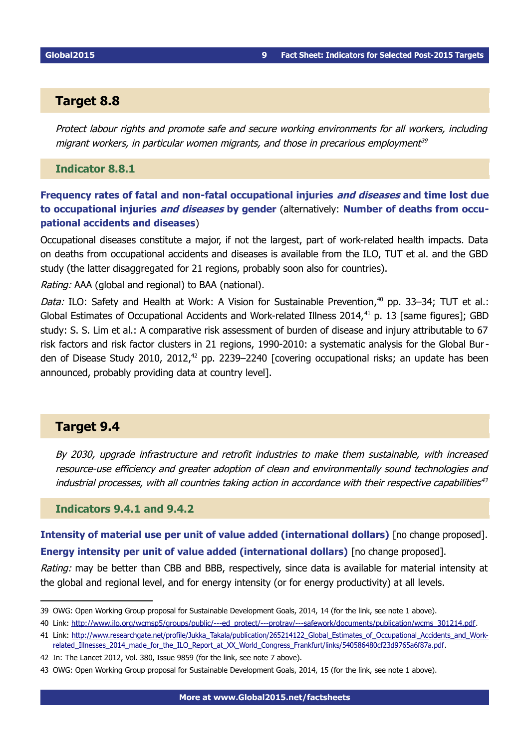## **Target 8.8**

Protect labour rights and promote safe and secure working environments for all workers, including migrant workers, in particular women migrants, and those in precarious employment<sup>[39](#page-8-0)</sup>

**Indicator 8.8.1** 

**Frequency rates of fatal and non-fatal occupational injuries and diseases and time lost due to occupational injuries and diseases by gender** (alternatively: **Number of deaths from occupational accidents and diseases**)

Occupational diseases constitute a major, if not the largest, part of work-related health impacts. Data on deaths from occupational accidents and diseases is available from the ILO, TUT et al. and the GBD study (the latter disaggregated for 21 regions, probably soon also for countries).

Rating: AAA (global and regional) to BAA (national).

Data: ILO: Safety and Health at Work: A Vision for Sustainable Prevention,<sup>[40](#page-8-1)</sup> pp. 33–34; TUT et al.: Global Estimates of Occupational Accidents and Work-related Illness 2014,<sup>[41](#page-8-2)</sup> p. 13 [same figures]; GBD study: S. S. Lim et al.: A comparative risk assessment of burden of disease and injury attributable to 67 risk factors and risk factor clusters in 21 regions, 1990-2010: a systematic analysis for the Global Bur-den of Disease Study 2010, 2012,<sup>[42](#page-8-3)</sup> pp. 2239–2240 [covering occupational risks; an update has been announced, probably providing data at country level].

# **Target 9.4**

By 2030, upgrade infrastructure and retrofit industries to make them sustainable, with increased resource-use efficiency and greater adoption of clean and environmentally sound technologies and industrial processes, with all countries taking action in accordance with their respective capabilities<sup>[43](#page-8-4)</sup>

### **Indicators 9.4.1 and 9.4.2**

**Intensity of material use per unit of value added (international dollars)** [no change proposed]. **Energy intensity per unit of value added (international dollars)** [no change proposed].

Rating: may be better than CBB and BBB, respectively, since data is available for material intensity at the global and regional level, and for energy intensity (or for energy productivity) at all levels.

<span id="page-8-0"></span><sup>39</sup> OWG: Open Working Group proposal for Sustainable Development Goals, 2014, 14 (for the link, see note [1](#page-0-0) above).

<span id="page-8-1"></span><sup>40</sup> Link: [http://www.ilo.org/wcmsp5/groups/public/---ed\\_protect/---protrav/---safework/documents/publication/wcms\\_301214.pdf.](http://www.ilo.org/wcmsp5/groups/public/---ed_protect/---protrav/---safework/documents/publication/wcms_301214.pdf)

<span id="page-8-2"></span><sup>41</sup> Link: [http://www.researchgate.net/profile/Jukka\\_Takala/publication/265214122\\_Global\\_Estimates\\_of\\_Occupational\\_Accidents\\_and\\_Work](http://www.researchgate.net/profile/Jukka_Takala/publication/265214122_Global_Estimates_of_Occupational_Accidents_and_Work-related_Illnesses_2014_made_for_the_ILO_Report_at_XX_World_Congress_Frankfurt/links/540586480cf23d9765a6f87a.pdf)[related\\_Illnesses\\_2014\\_made\\_for\\_the\\_ILO\\_Report\\_at\\_XX\\_World\\_Congress\\_Frankfurt/links/540586480cf23d9765a6f87a.pdf.](http://www.researchgate.net/profile/Jukka_Takala/publication/265214122_Global_Estimates_of_Occupational_Accidents_and_Work-related_Illnesses_2014_made_for_the_ILO_Report_at_XX_World_Congress_Frankfurt/links/540586480cf23d9765a6f87a.pdf)

<span id="page-8-3"></span><sup>42</sup> In: The Lancet 2012, Vol. 380, Issue 9859 (for the link, see note [7](#page-1-2) above).

<span id="page-8-4"></span><sup>43</sup> OWG: Open Working Group proposal for Sustainable Development Goals, 2014, 15 (for the link, see note [1](#page-0-0) above).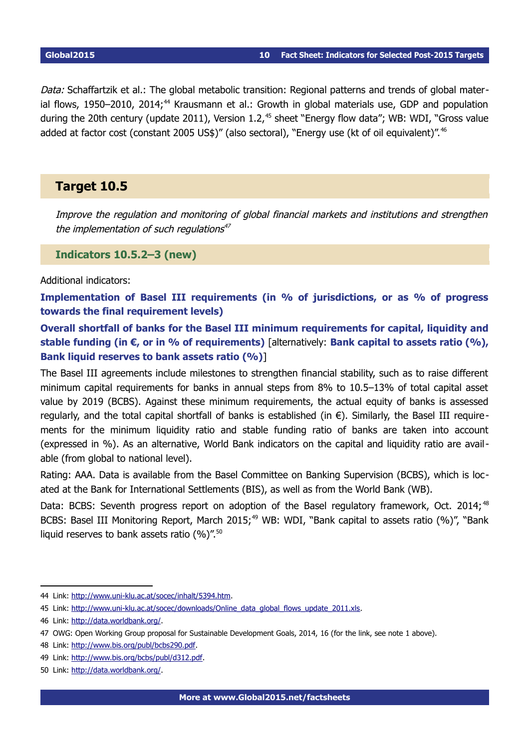Data: Schaffartzik et al.: The global metabolic transition: Regional patterns and trends of global mater-ial flows, 1950–2010, 2014;<sup>[44](#page-9-0)</sup> Krausmann et al.: Growth in global materials use, GDP and population during the 20th century (update 2011), Version  $1.2<sup>45</sup>$  $1.2<sup>45</sup>$  $1.2<sup>45</sup>$  sheet "Energy flow data"; WB: WDI, "Gross value added at factor cost (constant 2005 US\$)" (also sectoral), "Energy use (kt of oil equivalent)".<sup>[46](#page-9-2)</sup>

# **Target 10.5**

Improve the regulation and monitoring of global financial markets and institutions and strengthen the implementation of such regulations<sup>[47](#page-9-3)</sup>

**Indicators 10.5.2–3 (new)**

Additional indicators:

**Implementation of Basel III requirements (in % of jurisdictions, or as % of progress towards the final requirement levels)**

**Overall shortfall of banks for the Basel III minimum requirements for capital, liquidity and stable funding (in €, or in % of requirements)** [alternatively: **Bank capital to assets ratio (%), Bank liquid reserves to bank assets ratio (%)**]

The Basel III agreements include milestones to strengthen financial stability, such as to raise different minimum capital requirements for banks in annual steps from 8% to 10.5–13% of total capital asset value by 2019 (BCBS). Against these minimum requirements, the actual equity of banks is assessed regularly, and the total capital shortfall of banks is established (in €). Similarly, the Basel III requirements for the minimum liquidity ratio and stable funding ratio of banks are taken into account (expressed in %). As an alternative, World Bank indicators on the capital and liquidity ratio are available (from global to national level).

Rating: AAA. Data is available from the Basel Committee on Banking Supervision (BCBS), which is located at the Bank for International Settlements (BIS), as well as from the World Bank (WB).

Data: BCBS: Seventh progress report on adoption of the Basel regulatory framework, Oct. 2014;<sup>[48](#page-9-4)</sup> BCBS: Basel III Monitoring Report, March 2015;<sup>[49](#page-9-5)</sup> WB: WDI, "Bank capital to assets ratio (%)", "Bank liquid reserves to bank assets ratio  $(%)$ ".<sup>[50](#page-9-6)</sup>

<span id="page-9-0"></span><sup>44</sup> Link: [http://www.uni-klu.ac.at/socec/inhalt/5394.htm.](http://www.uni-klu.ac.at/socec/inhalt/5394.htm)

<span id="page-9-1"></span><sup>45</sup> Link: [http://www.uni-klu.ac.at/socec/downloads/Online\\_data\\_global\\_flows\\_update\\_2011.xls.](http://www.uni-klu.ac.at/socec/downloads/Online_data_global_flows_update_2011.xls)

<span id="page-9-2"></span><sup>46</sup> Link: [http://data.worldbank.org/.](http://data.worldbank.org/)

<span id="page-9-3"></span><sup>47</sup> OWG: Open Working Group proposal for Sustainable Development Goals, 2014, 16 (for the link, see note [1](#page-0-0) above).

<span id="page-9-4"></span><sup>48</sup> Link: [http://www.bis.org/publ/bcbs290.pdf.](http://www.bis.org/publ/bcbs290.pdf)

<span id="page-9-5"></span><sup>49</sup> Link: [http://www.bis.org/bcbs/publ/d312.pdf.](http://www.bis.org/bcbs/publ/d312.pdf)

<span id="page-9-6"></span><sup>50</sup> Link: [http://data.worldbank.org/.](http://data.worldbank.org/)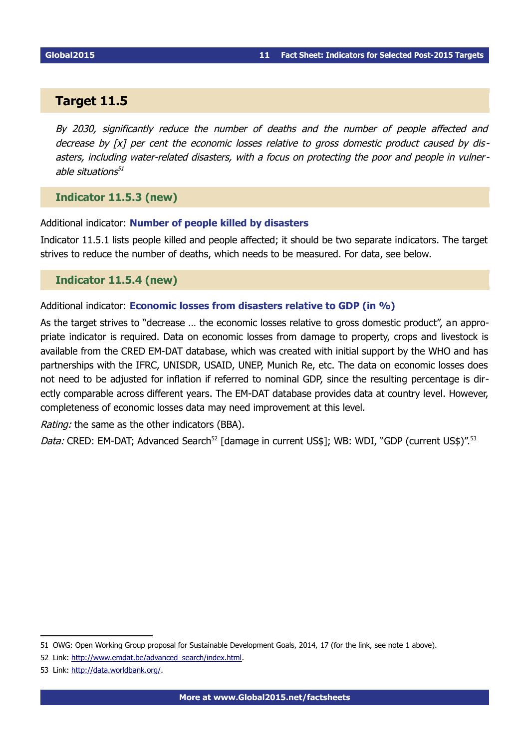# **Target 11.5**

By 2030, significantly reduce the number of deaths and the number of people affected and decrease by [x] per cent the economic losses relative to gross domestic product caused by disasters, including water-related disasters, with a focus on protecting the poor and people in vulner-able situations<sup>[51](#page-10-0)</sup>

### **Indicator 11.5.3 (new)**

Additional indicator: **Number of people killed by disasters** 

Indicator 11.5.1 lists people killed and people affected; it should be two separate indicators. The target strives to reduce the number of deaths, which needs to be measured. For data, see below.

# **Indicator 11.5.4 (new)**

### Additional indicator: **Economic losses from disasters relative to GDP (in %)**

As the target strives to "decrease … the economic losses relative to gross domestic product", an appropriate indicator is required. Data on economic losses from damage to property, crops and livestock is available from the CRED EM-DAT database, which was created with initial support by the WHO and has partnerships with the IFRC, UNISDR, USAID, UNEP, Munich Re, etc. The data on economic losses does not need to be adjusted for inflation if referred to nominal GDP, since the resulting percentage is directly comparable across different years. The EM-DAT database provides data at country level. However, completeness of economic losses data may need improvement at this level.

Rating: the same as the other indicators (BBA).

Data: CRED: EM-DAT; Advanced Search<sup>[52](#page-10-1)</sup> [damage in current US\$]; WB: WDI, "GDP (current US\$)".<sup>[53](#page-10-2)</sup>

<span id="page-10-0"></span><sup>51</sup> OWG: Open Working Group proposal for Sustainable Development Goals, 2014, 17 (for the link, see note [1](#page-0-0) above).

<span id="page-10-1"></span><sup>52</sup> Link: [http://www.emdat.be/advanced\\_search/index.html.](http://www.emdat.be/advanced_search/index.html)

<span id="page-10-2"></span><sup>53</sup> Link: [http://data.worldbank.org/.](http://data.worldbank.org/)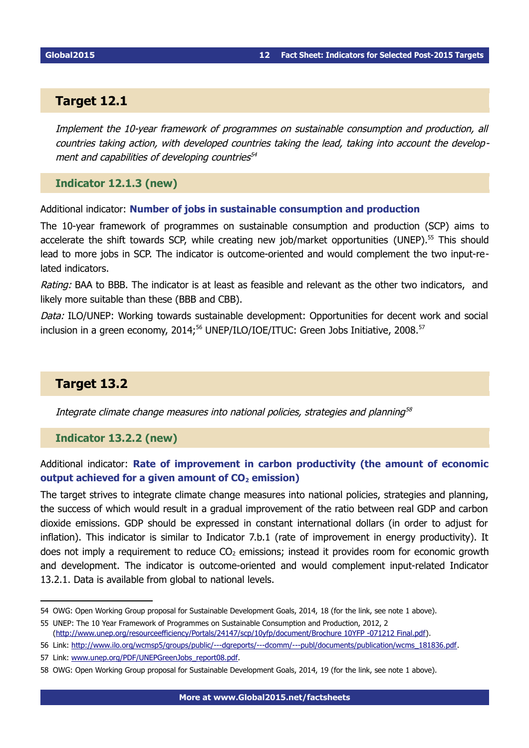# **Target 12.1**

Implement the 10-year framework of programmes on sustainable consumption and production, all countries taking action, with developed countries taking the lead, taking into account the development and capabilities of developing countries [54](#page-11-0)

### **Indicator 12.1.3 (new)**

Additional indicator: **Number of jobs in sustainable consumption and production** 

The 10-year framework of programmes on sustainable consumption and production (SCP) aims to accelerate the shift towards SCP, while creating new job/market opportunities (UNEP).<sup>[55](#page-11-1)</sup> This should lead to more jobs in SCP. The indicator is outcome-oriented and would complement the two input-related indicators.

Rating: BAA to BBB. The indicator is at least as feasible and relevant as the other two indicators, and likely more suitable than these (BBB and CBB).

Data: ILO/UNEP: Working towards sustainable development: Opportunities for decent work and social inclusion in a green economy,  $2014;^{56}$  $2014;^{56}$  $2014;^{56}$  UNEP/ILO/IOE/ITUC: Green Jobs Initiative,  $2008.^{57}$  $2008.^{57}$  $2008.^{57}$ 

# **Target 13.2**

Integrate climate change measures into national policies, strategies and planning $^{\rm{58}}$  $^{\rm{58}}$  $^{\rm{58}}$ 

### **Indicator 13.2.2 (new)**

# Additional indicator: **Rate of improvement in carbon productivity (the amount of economic output achieved for a given amount of CO2 emission)**

The target strives to integrate climate change measures into national policies, strategies and planning, the success of which would result in a gradual improvement of the ratio between real GDP and carbon dioxide emissions. GDP should be expressed in constant international dollars (in order to adjust for inflation). This indicator is similar to Indicator 7.b.1 (rate of improvement in energy productivity). It does not imply a requirement to reduce  $CO<sub>2</sub>$  emissions; instead it provides room for economic growth and development. The indicator is outcome-oriented and would complement input-related Indicator 13.2.1. Data is available from global to national levels.

<span id="page-11-0"></span><sup>54</sup> OWG: Open Working Group proposal for Sustainable Development Goals, 2014, 18 (for the link, see note [1](#page-0-0) above).

<span id="page-11-1"></span><sup>55</sup> UNEP: The 10 Year Framework of Programmes on Sustainable Consumption and Production, 2012, 2 [\(http://www.unep.org/resourceefficiency/Portals/24147/scp/10yfp/document/Brochure 10YFP -071212 Final.pdf\)](http://www.unep.org/resourceefficiency/Portals/24147/scp/10yfp/document/Brochure%2010YFP%20-071212%20Final.pdf).

<span id="page-11-2"></span><sup>56</sup> Link: [http://www.ilo.org/wcmsp5/groups/public/---dgreports/---dcomm/---publ/documents/publication/wcms\\_181836.pdf.](http://www.ilo.org/wcmsp5/groups/public/---dgreports/---dcomm/---publ/documents/publication/wcms_181836.pdf)

<span id="page-11-3"></span><sup>57</sup> Link: [www.unep.org/PDF/UNEPGreenJobs\\_report08.pdf.](http://www.unep.org/PDF/UNEPGreenJobs_report08.pdf)

<span id="page-11-4"></span><sup>58</sup> OWG: Open Working Group proposal for Sustainable Development Goals, 2014, 19 (for the link, see note [1](#page-0-0) above).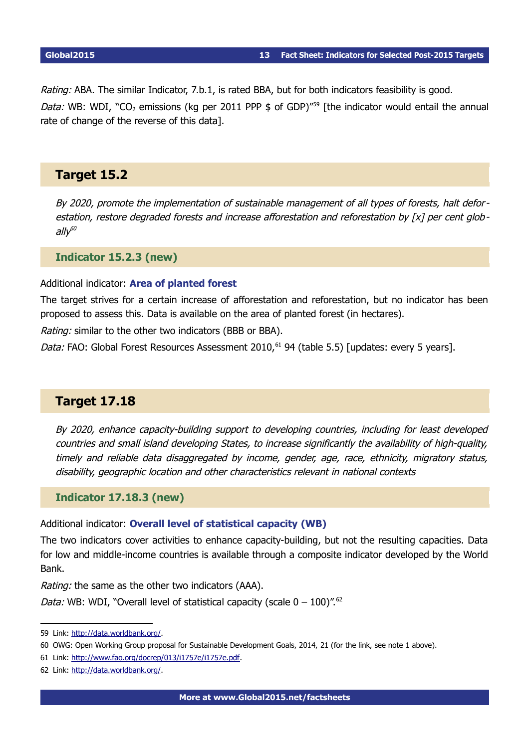Rating: ABA. The similar Indicator, 7.b.1, is rated BBA, but for both indicators feasibility is good. *Data:* WB: WDI, "CO<sub>2</sub> emissions (kg per 2011 PPP  $\frac{2011}{P}$  of GDP)<sup>"[59](#page-12-0)</sup> [the indicator would entail the annual rate of change of the reverse of this data].

# **Target 15.2**

By 2020, promote the implementation of sustainable management of all types of forests, halt deforestation, restore degraded forests and increase afforestation and reforestation by [x] per cent glob-ally<sup>[60](#page-12-1)</sup>

**Indicator 15.2.3 (new)** 

#### Additional indicator: **Area of planted forest**

The target strives for a certain increase of afforestation and reforestation, but no indicator has been proposed to assess this. Data is available on the area of planted forest (in hectares).

Rating: similar to the other two indicators (BBB or BBA).

Data: FAO: Global Forest Resources Assessment 2010,<sup>[61](#page-12-2)</sup> 94 (table 5.5) [updates: every 5 years].

# **Target 17.18**

By 2020, enhance capacity-building support to developing countries, including for least developed countries and small island developing States, to increase significantly the availability of high-quality, timely and reliable data disaggregated by income, gender, age, race, ethnicity, migratory status, disability, geographic location and other characteristics relevant in national contexts

### **Indicator 17.18.3 (new)**

Additional indicator: **Overall level of statistical capacity (WB)**

The two indicators cover activities to enhance capacity-building, but not the resulting capacities. Data for low and middle-income countries is available through a composite indicator developed by the World Bank.

Rating: the same as the other two indicators (AAA).

Data: WB: WDI, "Overall level of statistical capacity (scale  $0 - 100$ )".<sup>[62](#page-12-3)</sup>

<span id="page-12-0"></span><sup>59</sup> Link: [http://data.worldbank.org/.](http://data.worldbank.org/)

<span id="page-12-1"></span><sup>60</sup> OWG: Open Working Group proposal for Sustainable Development Goals, 2014, 21 (for the link, see note [1](#page-0-0) above).

<span id="page-12-2"></span><sup>61</sup> Link: [http://www.fao.org/docrep/013/i1757e/i1757e.pdf.](http://www.fao.org/docrep/013/i1757e/i1757e.pdf)

<span id="page-12-3"></span><sup>62</sup> Link: [http://data.worldbank.org/.](http://data.worldbank.org/)